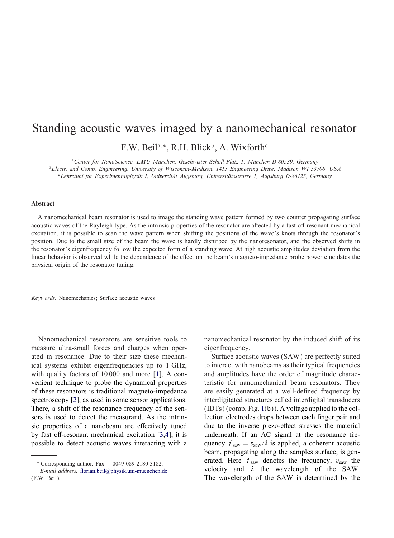## Standing acoustic waves imaged by a nanomechanical resonator F.W. Beil<sup>a,\*</sup>, R.H. Blick<sup>b</sup>, A. Wixforth<sup>c</sup>

<sup>a</sup>*Center for NanoScience, LMU Munchen, Geschwister-Scholl-Platz 1, Munchen D-80539, Germany*

<sup>b</sup>*Electr. and Comp. Engineering, University of Wisconsin-Madison, 1415 Engineering Drive, Madison WI 53706, USA*

<sup>c</sup>*Lehrstuhl fur Experimentalphysik I, Universitat Augsburg, Universitatsstrasse 1, Augsburg D-86125, Germany*

## Abstract

A nanomechanical beam resonator is used to image the standing wave pattern formed by two counter propagating surface acoustic waves of the Rayleigh type. As the intrinsic properties of the resonator are affected by a fast off-resonant mechanical excitation, it is possible to scan the wave pattern when shifting the positions of the wave's knots through the resonator's position. Due to the small size of the beam the wave is hardly disturbed by the nanoresonator, and the observed shifts in the resonator's eigenfrequency follow the expected form of a standing wave. At high acoustic amplitudes deviation from the linear behavior is observed while the dependence of the effect on the beam's magneto-impedance probe power elucidates the physical origin of the resonator tuning.

*Keywords:* Nanomechanics; Surface acoustic waves

Nanomechanical resonators are sensitive tools to measure ultra-small forces and charges when operated in resonance. Due to their size these mechanical systems exhibit eigenfrequencies up to 1 GHz, with quality factors of 10000 and more [\[1\]](#page-4-0). A convenient technique to probe the dynamical properties of these resonators is traditional magneto-impedance spectroscopy [\[2\]](#page-4-0), as used in some sensor applications. There, a shift of the resonance frequency of the sensors is used to detect the measurand. As the intrinsic properties of a nanobeam are effectively tuned by fast off-resonant mechanical excitation  $[3,4]$ , it is possible to detect acoustic waves interacting with a nanomechanical resonator by the induced shift of its eigenfrequency.

Surface acoustic waves (SAW) are perfectly suited to interact with nanobeams as their typical frequencies and amplitudes have the order of magnitude characteristic for nanomechanical beam resonators. They are easily generated at a well-defined frequency by interdigitated structures called interdigital transducers  $(IDTs)$  (comp. Fig. [1\(](#page-1-0)b)). A voltage applied to the collection electrodes drops between each finger pair and due to the inverse piezo-effect stresses the material underneath. If an AC signal at the resonance frequency  $f_{\text{saw}} = v_{\text{saw}}/\lambda$  is applied, a coherent acoustic beam, propagating along the samples surface, is generated. Here  $f_{\text{saw}}$  denotes the frequency,  $v_{\text{saw}}$  the velocity and  $\lambda$  the wavelength of the SAW. The wavelength of the SAW is determined by the

<sup>∗</sup> Corresponding author. Fax: +0049-089-2180-3182.

*E-mail address:* florian.beil@physik.uni-muenchen.de (F.W. Beil).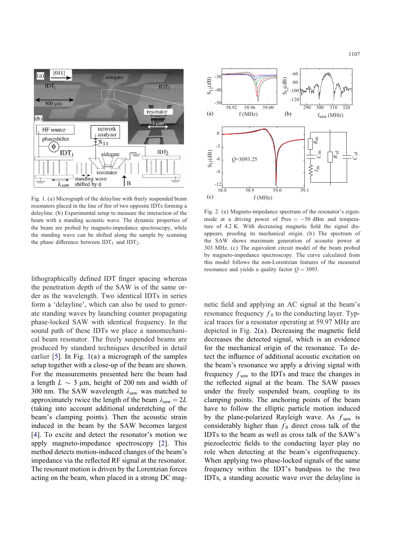<span id="page-1-0"></span>

Fig. 1. (a) Micrograph of the delayline with freely suspended beam resonators placed in the line of fire of two opposite IDTs forming a delayline. (b) Experimental setup to measure the interaction of the beam with a standing acoustic wave. The dynamic properties of the beam are probed by magneto-impedance spectroscopy, while the standing wave can be shifted along the sample by scanning the phase difference between  $IDT_1$  and  $IDT_2$ .

lithographically defined IDT finger spacing whereas the penetration depth of the SAW is of the same order as the wavelength. Two identical IDTs in series form a 'delayline', which can also be used to generate standing waves by launching counter propagating phase-locked SAW with identical frequency. In the sound path of these IDTs we place a nanomechanical beam resonator. The freely suspended beams are produced by standard techniques described in detail earlier [\[5\]](#page-4-0). In Fig. 1(a) a micrograph of the samples setup together with a close-up of the beam are shown. For the measurements presented here the beam had a length  $L \sim 3 \mu$ m, height of 200 nm and width of 300 nm. The SAW wavelength  $\lambda_{\text{saw}}$  was matched to approximately twice the length of the beam  $\lambda_{\text{sav}} = 2L$ (taking into account additional underetching of the beam's clamping points). Then the acoustic strain induced in the beam by the SAW becomes largest [\[4\]](#page-4-0). To excite and detect the resonator's motion we apply magneto-impedance spectroscopy [\[2\]](#page-4-0). This method detects motion-induced changes of the beam's impedance via the reflected RF signal at the resonator. The resonant motion is driven by the Lorentzian forces acting on the beam, when placed in a strong DC mag-



Fig. 2. (a) Magneto-impedance spectrum of the resonator's eigenmode at a driving power of Pres  $= -50$  dBm and temperature of  $4.2$  K. With decreasing magnetic field the signal disappears, proofing its mechanical origin. (b) The spectrum of the SAW shows maximum generation of acoustic power at 303 MHz. (c) The equivalent circuit model of the beam probed by magneto-impedance spectroscopy. The curve calculated from this model follows the non-Lorentzian features of the measured resonance and vields a quality factor  $Q = 3093$ .

netic field and applying an AC signal at the beam's resonance frequency  $f_0$  to the conducting layer. Typical traces for a resonator operating at 59:97 MHz are depicted in Fig.  $2(a)$ . Decreasing the magnetic field decreases the detected signal, which is an evidence for the mechanical origin of the resonance. To detect the influence of additional acoustic excitation on the beam's resonance we apply a driving signal with frequency  $f_{\text{saw}}$  to the IDTs and trace the changes in the reflected signal at the beam. The SAW passes under the freely suspended beam, coupling to its clamping points. The anchoring points of the beam have to follow the elliptic particle motion induced by the plane-polarized Rayleigh wave. As  $f_{\text{saw}}$  is considerably higher than  $f_0$  direct cross talk of the IDTs to the beam as well as cross talk of the SAW's piezoelectric fields to the conducting layer play no role when detecting at the beam's eigenfrequency. When applying two phase-locked signals of the same frequency within the IDT's bandpass to the two IDTs, a standing acoustic wave over the delayline is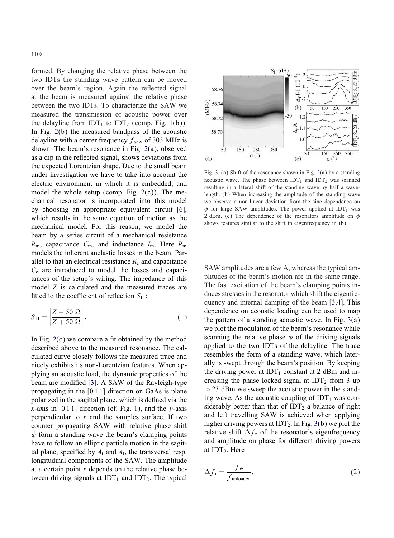<span id="page-2-0"></span>formed. By changing the relative phase between the two IDTs the standing wave pattern can be moved over the beam's region. Again the reflected signal at the beam is measured against the relative phase between the two IDTs. To characterize the SAW we measured the transmission of acoustic power over the delayline from IDT<sub>1</sub> to IDT<sub>2</sub> (comp. Fig. [1\(](#page-1-0)b)). In Fig. [2\(](#page-1-0)b) the measured bandpass of the acoustic delayline with a center frequency  $f_{\text{saw}}$  of 303 MHz is shown. The beam's resonance in Fig. [2\(](#page-1-0)a), observed as a dip in the reflected signal, shows deviations from the expected Lorentzian shape. Due to the small beam under investigation we have to take into account the electric environment in which it is embedded, and model the whole setup (comp. Fig.  $2(c)$  $2(c)$ ). The mechanical resonator is incorporated into this model by choosing an appropriate equivalent circuit [\[6\]](#page-4-0), which results in the same equation of motion as the mechanical model. For this reason, we model the beam by a series circuit of a mechanical resistance  $R<sub>m</sub>$ , capacitance  $C<sub>m</sub>$ , and inductance  $I<sub>m</sub>$ . Here  $R<sub>m</sub>$ models the inherent anelastic losses in the beam. Parallel to that an electrical resistance  $R<sub>e</sub>$  and capacitance  $C_e$  are introduced to model the losses and capacitances of the setup's wiring. The impedance of this model Z is calculated and the measured traces are fitted to the coefficient of reflection  $S_{11}$ :

$$
S_{11} = \left| \frac{Z - 50 \Omega}{Z + 50 \Omega} \right|.
$$
 (1)

In Fig.  $2(c)$  $2(c)$  we compare a fit obtained by the method described above to the measured resonance. The calculated curve closely follows the measured trace and nicely exhibits its non-Lorentzian features. When applying an acoustic load, the dynamic properties of the beam are modified [\[3\]](#page-4-0). A SAW of the Rayleigh-type propagating in the [0 1 1] direction on GaAs is plane polarized in the sagittal plane, which is defined via the x-axis in [0 1 1] direction (cf. Fig. [1\)](#page-1-0), and the y-axis perpendicular to  $x$  and the samples surface. If two counter propagating SAW with relative phase shift  $\phi$  form a standing wave the beam's clamping points have to follow an elliptic particle motion in the sagittal plane, specified by  $A_t$  and  $A_l$ , the transversal resp. longitudinal components of the SAW. The amplitude at a certain point  $x$  depends on the relative phase between driving signals at  $IDT_1$  and  $IDT_2$ . The typical



Fig. 3. (a) Shift of the resonance shown in Fig. [2\(](#page-1-0)a) by a standing acoustic wave. The phase between  $IDT_1$  and  $IDT_2$  was scanned resulting in a lateral shift of the standing wave by half a wavelength. (b) When increasing the amplitude of the standing wave we observe a non-linear deviation from the sine dependence on  $\phi$  for large SAW amplitudes. The power applied at IDT<sub>1</sub> was 2 dBm. (c) The dependence of the resonators amplitude on  $\phi$ shows features similar to the shift in eigenfrequency in (b).

SAW amplitudes are a few  $\AA$ , whereas the typical amplitudes of the beam's motion are in the same range. The fast excitation of the beam's clamping points induces stresses in the resonator which shift the eigenfrequency and internal damping of the beam [\[3,4\]](#page-4-0). This dependence on acoustic loading can be used to map the pattern of a standing acoustic wave. In Fig.  $3(a)$ we plot the modulation of the beam's resonance while scanning the relative phase  $\phi$  of the driving signals applied to the two IDTs of the delayline. The trace resembles the form of a standing wave, which laterally is swept through the beam's position. By keeping the driving power at  $IDT_1$  constant at 2 dBm and increasing the phase locked signal at  $IDT_2$  from 3 up to 23 dBm we sweep the acoustic power in the standing wave. As the acoustic coupling of  $IDT_1$  was considerably better than that of  $IDT_2$  a balance of right and left travelling SAW is achieved when applying higher driving powers at  $IDT_2$ . In Fig. 3(b) we plot the relative shift  $\Delta f_r$  of the resonator's eigenfrequency and amplitude on phase for different driving powers at  $IDT<sub>2</sub>$ . Here

$$
\Delta f_{\rm r} = \frac{f_{\phi}}{f_{\rm unloaded}},\tag{2}
$$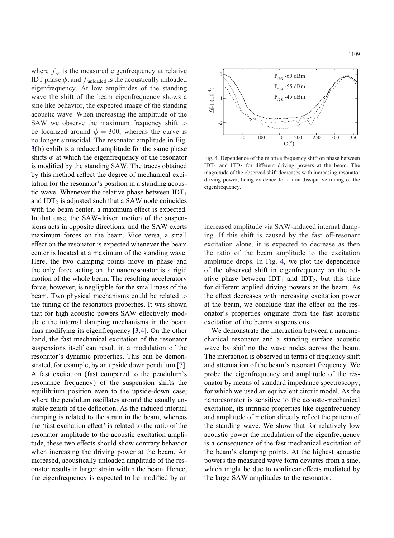where  $f_{\phi}$  is the measured eigenfrequency at relative IDT phase  $\phi$ , and  $f_{\text{unloaded}}$  is the acoustically unloaded eigenfrequency. At low amplitudes of the standing wave the shift of the beam eigenfrequency shows a sine like behavior, the expected image of the standing acoustic wave. When increasing the amplitude of the SAW we observe the maximum frequency shift to be localized around  $\phi = 300$ , whereas the curve is no longer sinusoidal. The resonator amplitude in Fig. [3\(](#page-2-0)b) exhibits a reduced amplitude for the same phase shifts  $\phi$  at which the eigenfrequency of the resonator is modified by the standing SAW. The traces obtained by this method reflect the degree of mechanical excitation for the resonator's position in a standing acoustic wave. Whenever the relative phase between  $IDT_1$ and  $IDT_2$  is adjusted such that a SAW node coincides with the beam center, a maximum effect is expected. In that case, the SAW-driven motion of the suspensions acts in opposite directions, and the SAW exerts maximum forces on the beam. Vice versa, a small effect on the resonator is expected whenever the beam center is located at a maximum of the standing wave. Here, the two clamping points move in phase and the only force acting on the nanoresonator is a rigid motion of the whole beam. The resulting acceleratory force, however, is negligible for the small mass of the beam. Two physical mechanisms could be related to the tuning of the resonators properties. It was shown that for high acoustic powers SAW effectively modulate the internal damping mechanisms in the beam thus modifying its eigenfrequency [\[3,4\]](#page-4-0). On the other hand, the fast mechanical excitation of the resonator suspensions itself can result in a modulation of the resonator's dynamic properties. This can be demonstrated, for example, by an upside down pendulum [\[7\]](#page-4-0). A fast excitation (fast compared to the pendulum's resonance frequency) of the suspension shifts the equilibrium position even to the upside-down case, where the pendulum oscillates around the usually unstable zenith of the deflection. As the induced internal damping is related to the strain in the beam, whereas the 'fast excitation effect' is related to the ratio of the resonator amplitude to the acoustic excitation amplitude, these two effects should show contrary behavior when increasing the driving power at the beam. An increased, acoustically unloaded amplitude of the resonator results in larger strain within the beam. Hence, the eigenfrequency is expected to be modified by an



Fig. 4. Dependence of the relative frequency shift on phase between  $IDT_1$  and  $ITD_2$  for different driving powers at the beam. The magnitude of the observed shift decreases with increasing resonator driving power, being evidence for a non-dissipative tuning of the eigenfrequency.

increased amplitude via SAW-induced internal damping. If this shift is caused by the fast off-resonant excitation alone, it is expected to decrease as then the ratio of the beam amplitude to the excitation amplitude drops. In Fig. 4, we plot the dependence of the observed shift in eigenfrequency on the relative phase between  $IDT_1$  and  $IDT_2$ , but this time for different applied driving powers at the beam. As the effect decreases with increasing excitation power at the beam, we conclude that the effect on the resonator's properties originate from the fast acoustic excitation of the beams suspensions.

We demonstrate the interaction between a nanomechanical resonator and a standing surface acoustic wave by shifting the wave nodes across the beam. The interaction is observed in terms of frequency shift and attenuation of the beam's resonant frequency. We probe the eigenfrequency and amplitude of the resonator by means of standard impedance spectroscopy, for which we used an equivalent circuit model. As the nanoresonator is sensitive to the acousto-mechanical excitation, its intrinsic properties like eigenfrequency and amplitude of motion directly reflect the pattern of the standing wave. We show that for relatively low acoustic power the modulation of the eigenfrequency is a consequence of the fast mechanical excitation of the beam's clamping points. At the highest acoustic powers the measured wave form deviates from a sine, which might be due to nonlinear effects mediated by the large SAW amplitudes to the resonator.